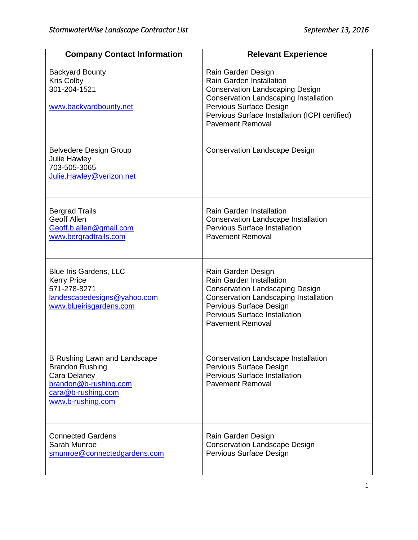| <b>Company Contact Information</b>                                                                                                                | <b>Relevant Experience</b>                                                                                                                                                                                                                              |
|---------------------------------------------------------------------------------------------------------------------------------------------------|---------------------------------------------------------------------------------------------------------------------------------------------------------------------------------------------------------------------------------------------------------|
| <b>Backyard Bounty</b><br><b>Kris Colby</b><br>301-204-1521<br>www.backyardbounty.net                                                             | Rain Garden Design<br><b>Rain Garden Installation</b><br><b>Conservation Landscaping Design</b><br><b>Conservation Landscaping Installation</b><br>Pervious Surface Design<br>Pervious Surface Installation (ICPI certified)<br><b>Pavement Removal</b> |
| <b>Belvedere Design Group</b><br><b>Julie Hawley</b><br>703-505-3065<br>Julie. Hawley@verizon.net                                                 | <b>Conservation Landscape Design</b>                                                                                                                                                                                                                    |
| <b>Bergrad Trails</b><br>Geoff Allen<br>Geoff.b.allen@gmail.com<br>www.bergradtrails.com                                                          | <b>Rain Garden Installation</b><br><b>Conservation Landscape Installation</b><br><b>Pervious Surface Installation</b><br><b>Pavement Removal</b>                                                                                                        |
| <b>Blue Iris Gardens, LLC</b><br><b>Kerry Price</b><br>571-278-8271<br>landescapedesigns@yahoo.com<br>www.blueirisgardens.com                     | Rain Garden Design<br>Rain Garden Installation<br><b>Conservation Landscaping Design</b><br><b>Conservation Landscaping Installation</b><br>Pervious Surface Design<br><b>Pervious Surface Installation</b><br><b>Pavement Removal</b>                  |
| <b>B Rushing Lawn and Landscape</b><br><b>Brandon Rushing</b><br>Cara Delaney<br>brandon@b-rushing.com<br>cara@b-rushing.com<br>www.b-rushing.com | <b>Conservation Landscape Installation</b><br>Pervious Surface Design<br><b>Pervious Surface Installation</b><br><b>Pavement Removal</b>                                                                                                                |
| <b>Connected Gardens</b><br>Sarah Munroe<br>smunroe@connectedgardens.com                                                                          | Rain Garden Design<br><b>Conservation Landscape Design</b><br>Pervious Surface Design                                                                                                                                                                   |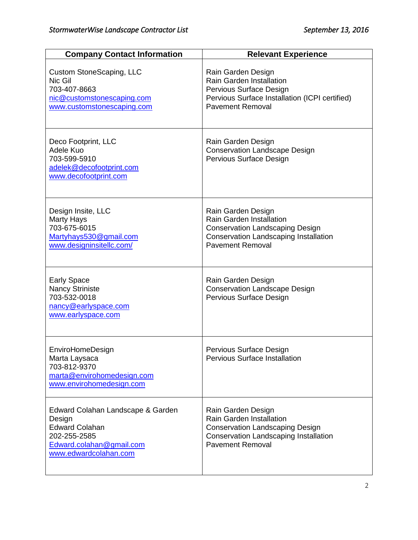| <b>Company Contact Information</b>                                                                                                        | <b>Relevant Experience</b>                                                                                                                                          |
|-------------------------------------------------------------------------------------------------------------------------------------------|---------------------------------------------------------------------------------------------------------------------------------------------------------------------|
| <b>Custom StoneScaping, LLC</b><br>Nic Gil<br>703-407-8663<br>nic@customstonescaping.com<br>www.customstonescaping.com                    | Rain Garden Design<br><b>Rain Garden Installation</b><br>Pervious Surface Design<br>Pervious Surface Installation (ICPI certified)<br><b>Pavement Removal</b>       |
| Deco Footprint, LLC<br>Adele Kuo<br>703-599-5910<br>adelek@decofootprint.com<br>www.decofootprint.com                                     | Rain Garden Design<br><b>Conservation Landscape Design</b><br>Pervious Surface Design                                                                               |
| Design Insite, LLC<br><b>Marty Hays</b><br>703-675-6015<br>Martyhays530@gmail.com<br>www.designinsitellc.com/                             | Rain Garden Design<br><b>Rain Garden Installation</b><br><b>Conservation Landscaping Design</b><br>Conservation Landscaping Installation<br><b>Pavement Removal</b> |
| <b>Early Space</b><br><b>Nancy Striniste</b><br>703-532-0018<br>nancy@earlyspace.com<br>www.earlyspace.com                                | Rain Garden Design<br><b>Conservation Landscape Design</b><br>Pervious Surface Design                                                                               |
| EnviroHomeDesign<br>Marta Laysaca<br>703-812-9370<br>marta@envirohomedesign.com<br>www.envirohomedesign.com                               | Pervious Surface Design<br><b>Pervious Surface Installation</b>                                                                                                     |
| Edward Colahan Landscape & Garden<br>Design<br><b>Edward Colahan</b><br>202-255-2585<br>Edward.colahan@gmail.com<br>www.edwardcolahan.com | Rain Garden Design<br>Rain Garden Installation<br><b>Conservation Landscaping Design</b><br>Conservation Landscaping Installation<br><b>Pavement Removal</b>        |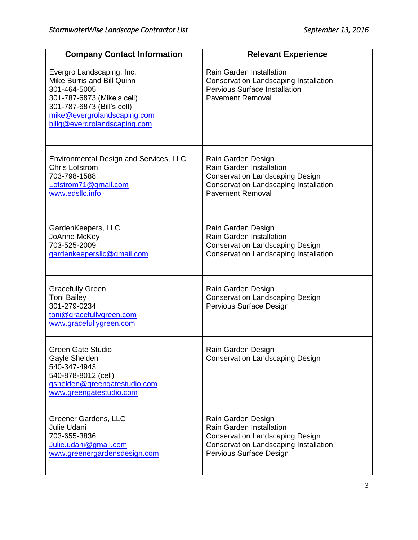| <b>Company Contact Information</b>                                                                                                                                                                 | <b>Relevant Experience</b>                                                                                                                                                 |
|----------------------------------------------------------------------------------------------------------------------------------------------------------------------------------------------------|----------------------------------------------------------------------------------------------------------------------------------------------------------------------------|
| Evergro Landscaping, Inc.<br>Mike Burris and Bill Quinn<br>301-464-5005<br>301-787-6873 (Mike's cell)<br>301-787-6873 (Bill's cell)<br>mike@evergrolandscaping.com<br>billg@evergrolandscaping.com | <b>Rain Garden Installation</b><br>Conservation Landscaping Installation<br><b>Pervious Surface Installation</b><br><b>Pavement Removal</b>                                |
| <b>Environmental Design and Services, LLC</b><br><b>Chris Lofstrom</b><br>703-798-1588<br>Lofstrom71@gmail.com<br>www.edsllc.info                                                                  | Rain Garden Design<br><b>Rain Garden Installation</b><br><b>Conservation Landscaping Design</b><br><b>Conservation Landscaping Installation</b><br><b>Pavement Removal</b> |
| GardenKeepers, LLC<br>JoAnne McKey<br>703-525-2009<br>gardenkeeperslic@gmail.com                                                                                                                   | Rain Garden Design<br><b>Rain Garden Installation</b><br><b>Conservation Landscaping Design</b><br>Conservation Landscaping Installation                                   |
| <b>Gracefully Green</b><br><b>Toni Bailey</b><br>301-279-0234<br>toni@gracefullygreen.com<br>www.gracefullygreen.com                                                                               | Rain Garden Design<br><b>Conservation Landscaping Design</b><br>Pervious Surface Design                                                                                    |
| <b>Green Gate Studio</b><br>Gayle Shelden<br>540-347-4943<br>540-878-8012 (cell)<br>gshelden@greengatestudio.com<br>www.greengatestudio.com                                                        | Rain Garden Design<br><b>Conservation Landscaping Design</b>                                                                                                               |
| <b>Greener Gardens, LLC</b><br>Julie Udani<br>703-655-3836<br>Julie.udani@gmail.com<br>www.greenergardensdesign.com                                                                                | Rain Garden Design<br>Rain Garden Installation<br><b>Conservation Landscaping Design</b><br><b>Conservation Landscaping Installation</b><br>Pervious Surface Design        |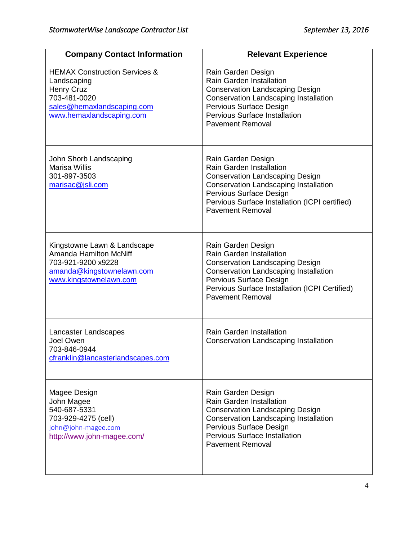| <b>Company Contact Information</b>                                                                                                                     | <b>Relevant Experience</b>                                                                                                                                                                                                                       |
|--------------------------------------------------------------------------------------------------------------------------------------------------------|--------------------------------------------------------------------------------------------------------------------------------------------------------------------------------------------------------------------------------------------------|
| <b>HEMAX Construction Services &amp;</b><br>Landscaping<br><b>Henry Cruz</b><br>703-481-0020<br>sales@hemaxlandscaping.com<br>www.hemaxlandscaping.com | Rain Garden Design<br><b>Rain Garden Installation</b><br><b>Conservation Landscaping Design</b><br><b>Conservation Landscaping Installation</b><br>Pervious Surface Design<br><b>Pervious Surface Installation</b><br><b>Pavement Removal</b>    |
| John Shorb Landscaping<br><b>Marisa Willis</b><br>301-897-3503<br>marisac@jsli.com                                                                     | Rain Garden Design<br>Rain Garden Installation<br><b>Conservation Landscaping Design</b><br><b>Conservation Landscaping Installation</b><br>Pervious Surface Design<br>Pervious Surface Installation (ICPI certified)<br><b>Pavement Removal</b> |
| Kingstowne Lawn & Landscape<br><b>Amanda Hamilton McNiff</b><br>703-921-9200 x9228<br>amanda@kingstownelawn.com<br>www.kingstownelawn.com              | Rain Garden Design<br>Rain Garden Installation<br><b>Conservation Landscaping Design</b><br>Conservation Landscaping Installation<br>Pervious Surface Design<br>Pervious Surface Installation (ICPI Certified)<br><b>Pavement Removal</b>        |
| Lancaster Landscapes<br>Joel Owen<br>703-846-0944<br>cfranklin@lancasterlandscapes.com                                                                 | <b>Rain Garden Installation</b><br><b>Conservation Landscaping Installation</b>                                                                                                                                                                  |
| Magee Design<br>John Magee<br>540-687-5331<br>703-929-4275 (cell)<br>john@john-magee.com<br>http://www.john-magee.com/                                 | Rain Garden Design<br>Rain Garden Installation<br><b>Conservation Landscaping Design</b><br><b>Conservation Landscaping Installation</b><br>Pervious Surface Design<br><b>Pervious Surface Installation</b><br><b>Pavement Removal</b>           |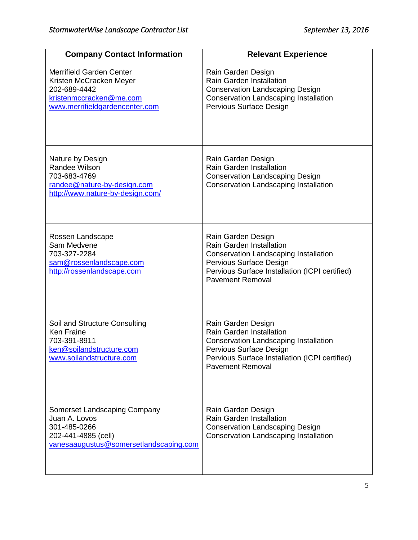| <b>Company Contact Information</b>                                                                                                      | <b>Relevant Experience</b>                                                                                                                                                                             |
|-----------------------------------------------------------------------------------------------------------------------------------------|--------------------------------------------------------------------------------------------------------------------------------------------------------------------------------------------------------|
| <b>Merrifield Garden Center</b><br>Kristen McCracken Meyer<br>202-689-4442<br>kristenmccracken@me.com<br>www.merrifieldgardencenter.com | Rain Garden Design<br><b>Rain Garden Installation</b><br><b>Conservation Landscaping Design</b><br><b>Conservation Landscaping Installation</b><br>Pervious Surface Design                             |
| Nature by Design<br>Randee Wilson<br>703-683-4769<br>randee@nature-by-design.com<br>http://www.nature-by-design.com/                    | Rain Garden Design<br>Rain Garden Installation<br><b>Conservation Landscaping Design</b><br><b>Conservation Landscaping Installation</b>                                                               |
| Rossen Landscape<br>Sam Medvene<br>703-327-2284<br>sam@rossenlandscape.com<br>http://rossenlandscape.com                                | Rain Garden Design<br>Rain Garden Installation<br><b>Conservation Landscaping Installation</b><br>Pervious Surface Design<br>Pervious Surface Installation (ICPI certified)<br><b>Pavement Removal</b> |
| Soil and Structure Consulting<br><b>Ken Fraine</b><br>703-391-8911<br>ken@soilandstructure.com<br>www.soilandstructure.com              | Rain Garden Design<br>Rain Garden Installation<br><b>Conservation Landscaping Installation</b><br>Pervious Surface Design<br>Pervious Surface Installation (ICPI certified)<br><b>Pavement Removal</b> |
| Somerset Landscaping Company<br>Juan A. Lovos<br>301-485-0266<br>202-441-4885 (cell)<br>vanesaaugustus@somersetlandscaping.com          | Rain Garden Design<br>Rain Garden Installation<br><b>Conservation Landscaping Design</b><br>Conservation Landscaping Installation                                                                      |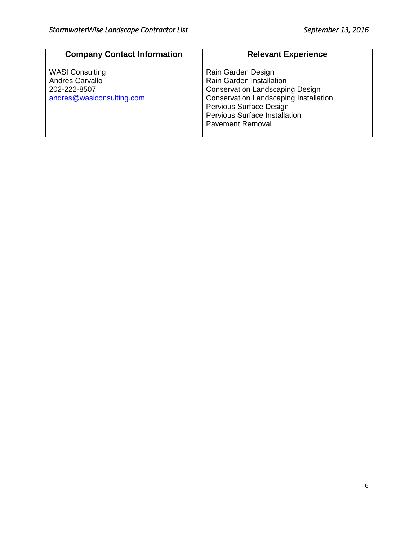| <b>Company Contact Information</b>                                                     | <b>Relevant Experience</b>                                                                                                                                                                                                                    |
|----------------------------------------------------------------------------------------|-----------------------------------------------------------------------------------------------------------------------------------------------------------------------------------------------------------------------------------------------|
| <b>WASI Consulting</b><br>Andres Carvallo<br>202-222-8507<br>andres@wasiconsulting.com | Rain Garden Design<br><b>Rain Garden Installation</b><br><b>Conservation Landscaping Design</b><br><b>Conservation Landscaping Installation</b><br>Pervious Surface Design<br><b>Pervious Surface Installation</b><br><b>Pavement Removal</b> |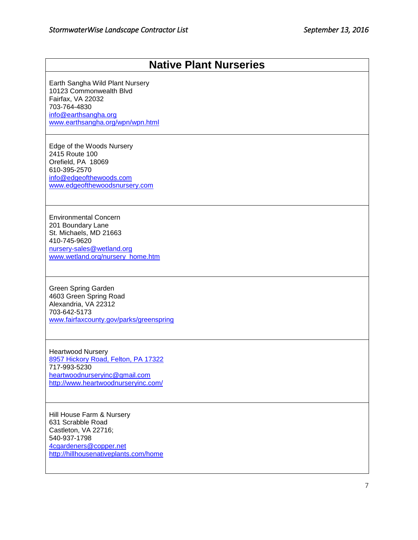## **Native Plant Nurseries** Earth Sangha Wild Plant Nursery 10123 Commonwealth Blvd Fairfax, VA 22032 703-764-4830 [info@earthsangha.org](mailto:info@earthsangha.org) [www.earthsangha.org/wpn/wpn.html](http://www.earthsangha.org/wpn/wpn.html) Edge of the Woods Nursery 2415 Route 100 Orefield, PA 18069 610-395-2570 [info@edgeofthewoods.com](file://///acg.arlington.local/arlgov/DEPT-DES/team/ENVIRONMENTAL-PLANNING/StormwaterWise%20Landscapes%20Program/Contractors%20&%20Resources/info@edgeofthewoods.com) [www.edgeofthewoodsnursery.com](file://///acg.arlington.local/arlgov/DEPT-DES/team/ENVIRONMENTAL-PLANNING/StormwaterWise%20Landscapes%20Program/Contractors%20&%20Resources/www.edgeofthewoodsnursery.com) Environmental Concern 201 Boundary Lane St. Michaels, MD 21663 410-745-9620 [nursery-sales@wetland.org](mailto:nursery-sales@wetland.org) [www.wetland.org/nursery\\_home.htm](http://www.wetland.org/nursery_home.htm) Green Spring Garden 4603 Green Spring Road Alexandria, VA 22312 703-642-5173 [www.fairfaxcounty.gov/parks/greenspring](http://www.fairfaxcounty.gov/parks/greenspring) Heartwood Nursery [8957 Hickory Road, Felton, PA 17322](http://www.heartwoodnurseryinc.com/contact.html) 717-993-5230 [heartwoodnurseryinc@gmail.com](http://www.heartwoodnurseryinc.com/%3Ca%20href=%27mailto:heartwoodnurseryinc%40gmail.com%27%3Eheartwoodnurseryinc@gmail.com%3C/a%3E) <http://www.heartwoodnurseryinc.com/> Hill House Farm & Nursery 631 Scrabble Road Castleton, VA 22716; 540-937-1798 [4cgardeners@copper.net](mailto:4cgardeners@copper.net)

<http://hillhousenativeplants.com/home>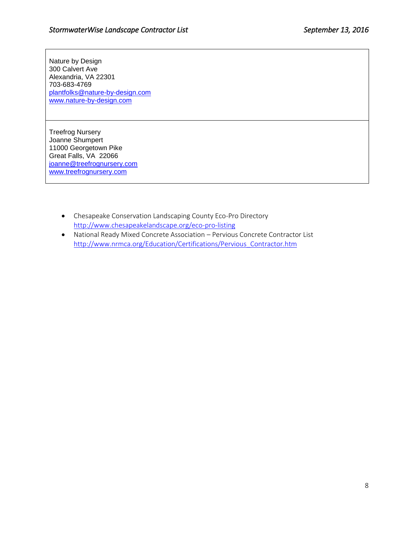Nature by Design 300 Calvert Ave Alexandria, VA 22301 703-683-4769 [plantfolks@nature-by-design.com](mailto:plantfolks@nature-by-design.com) [www.nature-by-design.com](http://www.nature-by-design.com/)

Treefrog Nursery Joanne Shumpert 11000 Georgetown Pike Great Falls, VA 22066 [joanne@treefrognursery.com](mailto:joanne@treefrognursery.com) [www.treefrognursery.com](http://www.treefrognursery.com/)

- Chesapeake Conservation Landscaping County Eco-Pro Directory <http://www.chesapeakelandscape.org/eco-pro-listing>
- National Ready Mixed Concrete Association Pervious Concrete Contractor List [http://www.nrmca.org/Education/Certifications/Pervious\\_Contractor.htm](http://www.nrmca.org/Education/Certifications/Pervious_Contractor.htm)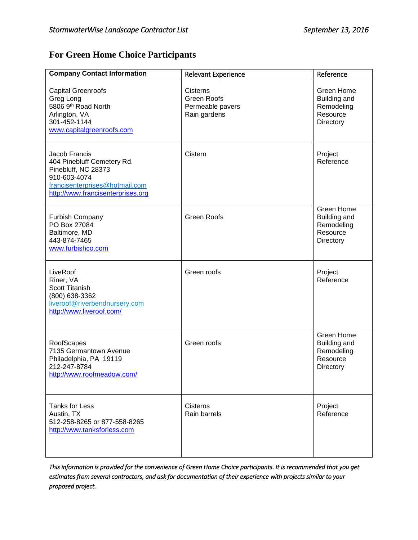## **For Green Home Choice Participants**

| <b>Company Contact Information</b>                                                                                                                        | <b>Relevant Experience</b>                                         | Reference                                                                       |
|-----------------------------------------------------------------------------------------------------------------------------------------------------------|--------------------------------------------------------------------|---------------------------------------------------------------------------------|
| <b>Capital Greenroofs</b><br>Greg Long<br>5806 9th Road North<br>Arlington, VA<br>301-452-1144<br>www.capitalgreenroofs.com                               | Cisterns<br><b>Green Roofs</b><br>Permeable pavers<br>Rain gardens | Green Home<br>Building and<br>Remodeling<br>Resource<br><b>Directory</b>        |
| Jacob Francis<br>404 Pinebluff Cemetery Rd.<br>Pinebluff, NC 28373<br>910-603-4074<br>francisenterprises@hotmail.com<br>http://www.francisenterprises.org | Cistern                                                            | Project<br>Reference                                                            |
| Furbish Company<br>PO Box 27084<br>Baltimore, MD<br>443-874-7465<br>www.furbishco.com                                                                     | <b>Green Roofs</b>                                                 | Green Home<br>Building and<br>Remodeling<br>Resource<br>Directory               |
| LiveRoof<br>Riner, VA<br><b>Scott Titanish</b><br>(800) 638-3362<br>liveroof@riverbendnursery.com<br>http://www.liveroof.com/                             | Green roofs                                                        | Project<br>Reference                                                            |
| RoofScapes<br>7135 Germantown Avenue<br>Philadelphia, PA 19119<br>212-247-8784<br>http://www.roofmeadow.com/                                              | Green roofs                                                        | Green Home<br><b>Building and</b><br>Remodeling<br>Resource<br><b>Directory</b> |
| <b>Tanks for Less</b><br>Austin, TX<br>512-258-8265 or 877-558-8265<br>http://www.tanksforless.com                                                        | Cisterns<br>Rain barrels                                           | Project<br>Reference                                                            |

*This information is provided for the convenience of Green Home Choice participants. It is recommended that you get estimates from several contractors, and ask for documentation of their experience with projects similar to your proposed project.*